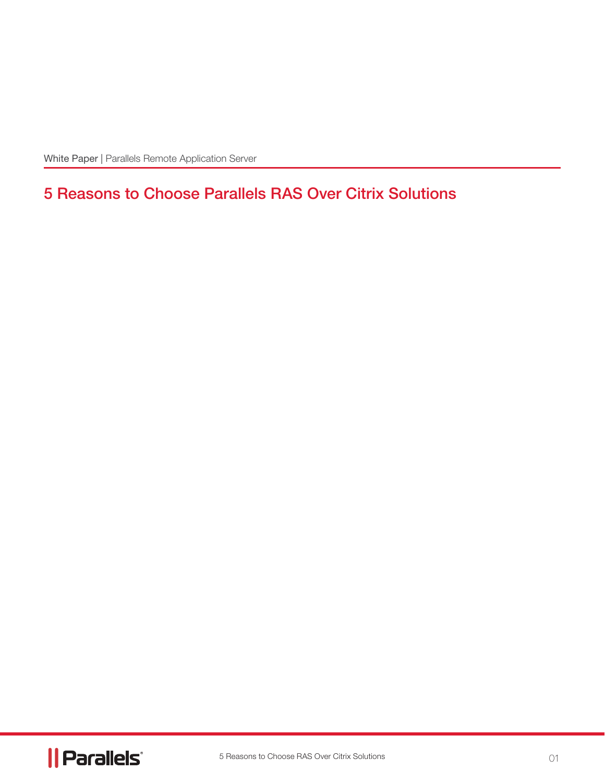White Paper | Parallels Remote Application Server

# 5 Reasons to Choose Parallels RAS Over Citrix Solutions

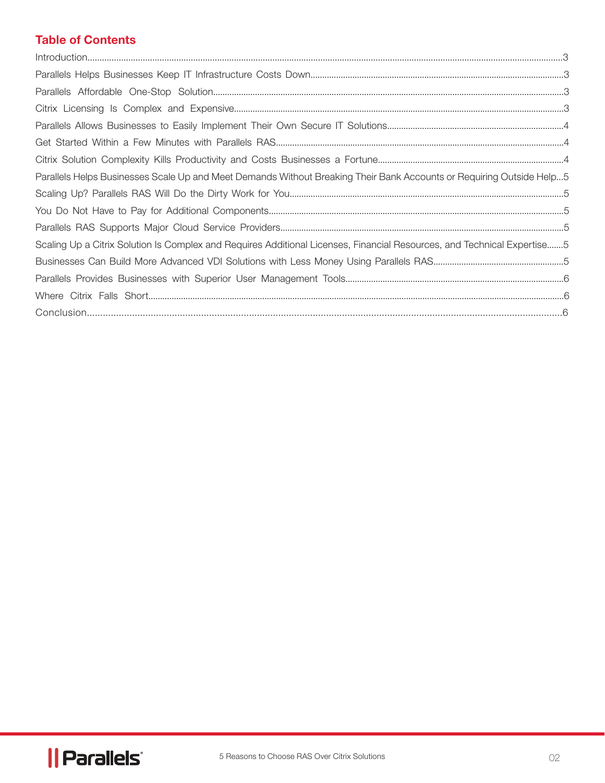# Table of Contents

| Parallels Helps Businesses Scale Up and Meet Demands Without Breaking Their Bank Accounts or Requiring Outside Help5    |
|-------------------------------------------------------------------------------------------------------------------------|
|                                                                                                                         |
|                                                                                                                         |
|                                                                                                                         |
| Scaling Up a Citrix Solution Is Complex and Requires Additional Licenses, Financial Resources, and Technical Expertise5 |
|                                                                                                                         |
|                                                                                                                         |
|                                                                                                                         |
|                                                                                                                         |

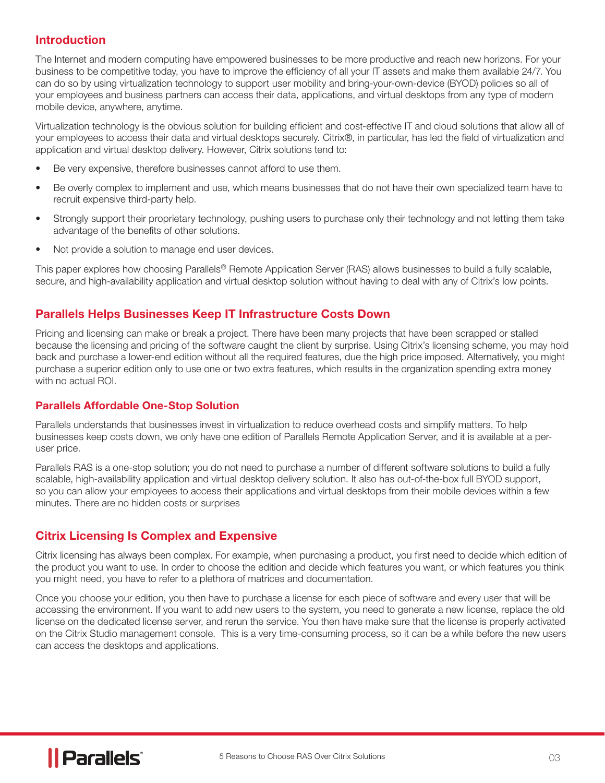## Introduction

The Internet and modern computing have empowered businesses to be more productive and reach new horizons. For your business to be competitive today, you have to improve the efficiency of all your IT assets and make them available 24/7. You can do so by using virtualization technology to support user mobility and bring-your-own-device (BYOD) policies so all of your employees and business partners can access their data, applications, and virtual desktops from any type of modern mobile device, anywhere, anytime.

Virtualization technology is the obvious solution for building efficient and cost-effective IT and cloud solutions that allow all of your employees to access their data and virtual desktops securely. Citrix®, in particular, has led the field of virtualization and application and virtual desktop delivery. However, Citrix solutions tend to:

- Be very expensive, therefore businesses cannot afford to use them.
- Be overly complex to implement and use, which means businesses that do not have their own specialized team have to recruit expensive third-party help.
- Strongly support their proprietary technology, pushing users to purchase only their technology and not letting them take advantage of the benefits of other solutions.
- Not provide a solution to manage end user devices.

This paper explores how choosing Parallels<sup>®</sup> Remote Application Server (RAS) allows businesses to build a fully scalable, secure, and high-availability application and virtual desktop solution without having to deal with any of Citrix's low points.

## Parallels Helps Businesses Keep IT Infrastructure Costs Down

Pricing and licensing can make or break a project. There have been many projects that have been scrapped or stalled because the licensing and pricing of the software caught the client by surprise. Using Citrix's licensing scheme, you may hold back and purchase a lower-end edition without all the required features, due the high price imposed. Alternatively, you might purchase a superior edition only to use one or two extra features, which results in the organization spending extra money with no actual ROI.

#### Parallels Affordable One-Stop Solution

Parallels understands that businesses invest in virtualization to reduce overhead costs and simplify matters. To help businesses keep costs down, we only have one edition of Parallels Remote Application Server, and it is available at a peruser price.

Parallels RAS is a one-stop solution; you do not need to purchase a number of different software solutions to build a fully scalable, high-availability application and virtual desktop delivery solution. It also has out-of-the-box full BYOD support, so you can allow your employees to access their applications and virtual desktops from their mobile devices within a few minutes. There are no hidden costs or surprises

## Citrix Licensing Is Complex and Expensive

Citrix licensing has always been complex. For example, when purchasing a product, you first need to decide which edition of the product you want to use. In order to choose the edition and decide which features you want, or which features you think you might need, you have to refer to a plethora of matrices and documentation.

Once you choose your edition, you then have to purchase a license for each piece of software and every user that will be accessing the environment. If you want to add new users to the system, you need to generate a new license, replace the old license on the dedicated license server, and rerun the service. You then have make sure that the license is properly activated on the Citrix Studio management console. This is a very time-consuming process, so it can be a while before the new users can access the desktops and applications.

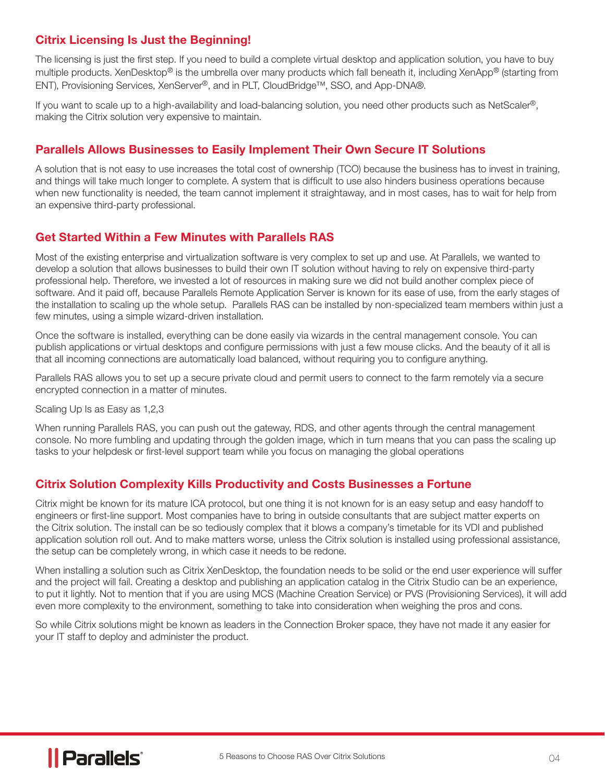## Citrix Licensing Is Just the Beginning!

The licensing is just the first step. If you need to build a complete virtual desktop and application solution, you have to buy multiple products. XenDesktop® is the umbrella over many products which fall beneath it, including XenApp® (starting from ENT), Provisioning Services, XenServer®, and in PLT, CloudBridge™, SSO, and App-DNA®.

If you want to scale up to a high-availability and load-balancing solution, you need other products such as NetScaler®, making the Citrix solution very expensive to maintain.

## Parallels Allows Businesses to Easily Implement Their Own Secure IT Solutions

A solution that is not easy to use increases the total cost of ownership (TCO) because the business has to invest in training, and things will take much longer to complete. A system that is difficult to use also hinders business operations because when new functionality is needed, the team cannot implement it straightaway, and in most cases, has to wait for help from an expensive third-party professional.

#### Get Started Within a Few Minutes with Parallels RAS

Most of the existing enterprise and virtualization software is very complex to set up and use. At Parallels, we wanted to develop a solution that allows businesses to build their own IT solution without having to rely on expensive third-party professional help. Therefore, we invested a lot of resources in making sure we did not build another complex piece of software. And it paid off, because Parallels Remote Application Server is known for its ease of use, from the early stages of the installation to scaling up the whole setup. Parallels RAS can be installed by non-specialized team members within just a few minutes, using a simple wizard-driven installation.

Once the software is installed, everything can be done easily via wizards in the central management console. You can publish applications or virtual desktops and configure permissions with just a few mouse clicks. And the beauty of it all is that all incoming connections are automatically load balanced, without requiring you to configure anything.

Parallels RAS allows you to set up a secure private cloud and permit users to connect to the farm remotely via a secure encrypted connection in a matter of minutes.

Scaling Up Is as Easy as 1,2,3

When running Parallels RAS, you can push out the gateway, RDS, and other agents through the central management console. No more fumbling and updating through the golden image, which in turn means that you can pass the scaling up tasks to your helpdesk or first-level support team while you focus on managing the global operations

#### Citrix Solution Complexity Kills Productivity and Costs Businesses a Fortune

Citrix might be known for its mature ICA protocol, but one thing it is not known for is an easy setup and easy handoff to engineers or first-line support. Most companies have to bring in outside consultants that are subject matter experts on the Citrix solution. The install can be so tediously complex that it blows a company's timetable for its VDI and published application solution roll out. And to make matters worse, unless the Citrix solution is installed using professional assistance, the setup can be completely wrong, in which case it needs to be redone.

When installing a solution such as Citrix XenDesktop, the foundation needs to be solid or the end user experience will suffer and the project will fail. Creating a desktop and publishing an application catalog in the Citrix Studio can be an experience, to put it lightly. Not to mention that if you are using MCS (Machine Creation Service) or PVS (Provisioning Services), it will add even more complexity to the environment, something to take into consideration when weighing the pros and cons.

So while Citrix solutions might be known as leaders in the Connection Broker space, they have not made it any easier for your IT staff to deploy and administer the product.

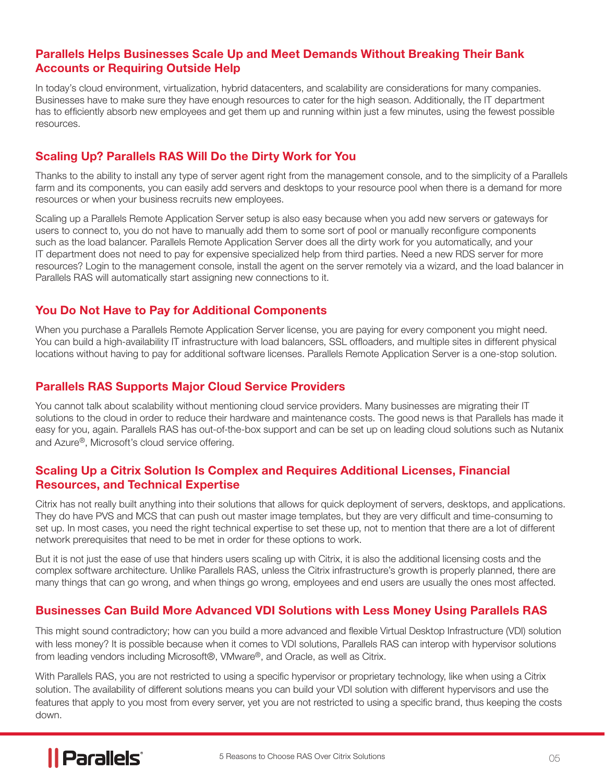#### Parallels Helps Businesses Scale Up and Meet Demands Without Breaking Their Bank Accounts or Requiring Outside Help

In today's cloud environment, virtualization, hybrid datacenters, and scalability are considerations for many companies. Businesses have to make sure they have enough resources to cater for the high season. Additionally, the IT department has to efficiently absorb new employees and get them up and running within just a few minutes, using the fewest possible resources.

#### Scaling Up? Parallels RAS Will Do the Dirty Work for You

Thanks to the ability to install any type of server agent right from the management console, and to the simplicity of a Parallels farm and its components, you can easily add servers and desktops to your resource pool when there is a demand for more resources or when your business recruits new employees.

Scaling up a Parallels Remote Application Server setup is also easy because when you add new servers or gateways for users to connect to, you do not have to manually add them to some sort of pool or manually reconfigure components such as the load balancer. Parallels Remote Application Server does all the dirty work for you automatically, and your IT department does not need to pay for expensive specialized help from third parties. Need a new RDS server for more resources? Login to the management console, install the agent on the server remotely via a wizard, and the load balancer in Parallels RAS will automatically start assigning new connections to it.

#### You Do Not Have to Pay for Additional Components

When you purchase a Parallels Remote Application Server license, you are paying for every component you might need. You can build a high-availability IT infrastructure with load balancers, SSL offloaders, and multiple sites in different physical locations without having to pay for additional software licenses. Parallels Remote Application Server is a one-stop solution.

#### Parallels RAS Supports Major Cloud Service Providers

You cannot talk about scalability without mentioning cloud service providers. Many businesses are migrating their IT solutions to the cloud in order to reduce their hardware and maintenance costs. The good news is that Parallels has made it easy for you, again. Parallels RAS has out-of-the-box support and can be set up on leading cloud solutions such as Nutanix and Azure®, Microsoft's cloud service offering.

#### Scaling Up a Citrix Solution Is Complex and Requires Additional Licenses, Financial Resources, and Technical Expertise

Citrix has not really built anything into their solutions that allows for quick deployment of servers, desktops, and applications. They do have PVS and MCS that can push out master image templates, but they are very difficult and time-consuming to set up. In most cases, you need the right technical expertise to set these up, not to mention that there are a lot of different network prerequisites that need to be met in order for these options to work.

But it is not just the ease of use that hinders users scaling up with Citrix, it is also the additional licensing costs and the complex software architecture. Unlike Parallels RAS, unless the Citrix infrastructure's growth is properly planned, there are many things that can go wrong, and when things go wrong, employees and end users are usually the ones most affected.

#### Businesses Can Build More Advanced VDI Solutions with Less Money Using Parallels RAS

This might sound contradictory; how can you build a more advanced and flexible Virtual Desktop Infrastructure (VDI) solution with less money? It is possible because when it comes to VDI solutions, Parallels RAS can interop with hypervisor solutions from leading vendors including Microsoft®, VMware®, and Oracle, as well as Citrix.

With Parallels RAS, you are not restricted to using a specific hypervisor or proprietary technology, like when using a Citrix solution. The availability of different solutions means you can build your VDI solution with different hypervisors and use the features that apply to you most from every server, yet you are not restricted to using a specific brand, thus keeping the costs down.